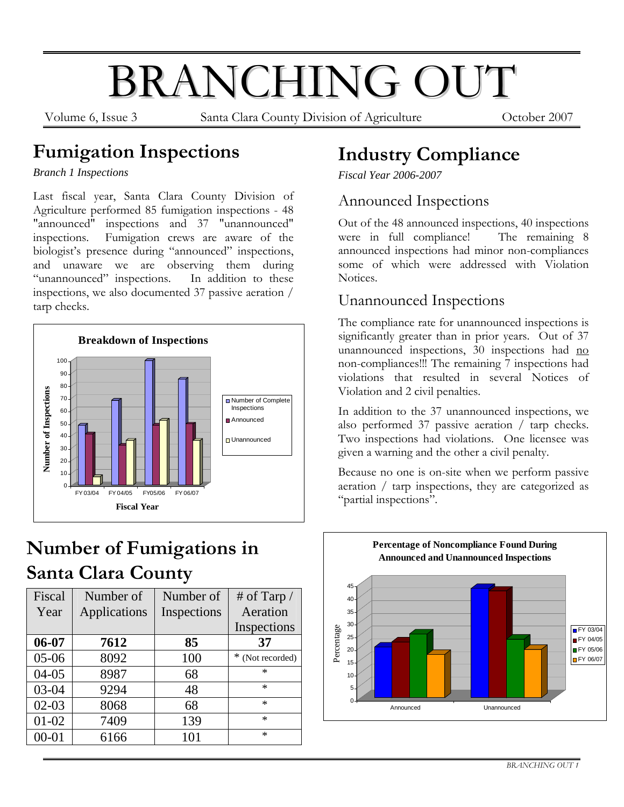# BRANCHING OUT

Volume 6, Issue 3 Santa Clara County Division of Agriculture October 2007

### **Fumigation Inspections**

*Branch 1 Inspections* 

Last fiscal year, Santa Clara County Division of Agriculture performed 85 fumigation inspections - 48 "announced" inspections and 37 "unannounced" inspections. Fumigation crews are aware of the biologist's presence during "announced" inspections, and unaware we are observing them during "unannounced" inspections. In addition to these inspections, we also documented 37 passive aeration / tarp checks.



# **Number of Fumigations in Santa Clara County**

| Fiscal    | Number of    | Number of   | # of Tarp $/$    |
|-----------|--------------|-------------|------------------|
| Year      | Applications | Inspections | Aeration         |
|           |              |             | Inspections      |
| $06 - 07$ | 7612         | 85          | 37               |
| $05-06$   | 8092         | 100         | * (Not recorded) |
| $04 - 05$ | 8987         | 68          | $\ast$           |
| 03-04     | 9294         | 48          | $\ast$           |
| $02 - 03$ | 8068         | 68          | $\ast$           |
| $01-02$   | 7409         | 139         | $\ast$           |
| $00 - 01$ | 6166         | 101         | $\ast$           |

# **Industry Compliance**

*Fiscal Year 2006-2007* 

### Announced Inspections

Out of the 48 announced inspections, 40 inspections were in full compliance! The remaining 8 announced inspections had minor non-compliances some of which were addressed with Violation Notices.

### Unannounced Inspections

The compliance rate for unannounced inspections is significantly greater than in prior years. Out of 37 unannounced inspections, 30 inspections had no non-compliances!!! The remaining 7 inspections had violations that resulted in several Notices of Violation and 2 civil penalties.

In addition to the 37 unannounced inspections, we also performed 37 passive aeration / tarp checks. Two inspections had violations. One licensee was given a warning and the other a civil penalty.

Because no one is on-site when we perform passive aeration / tarp inspections, they are categorized as "partial inspections".

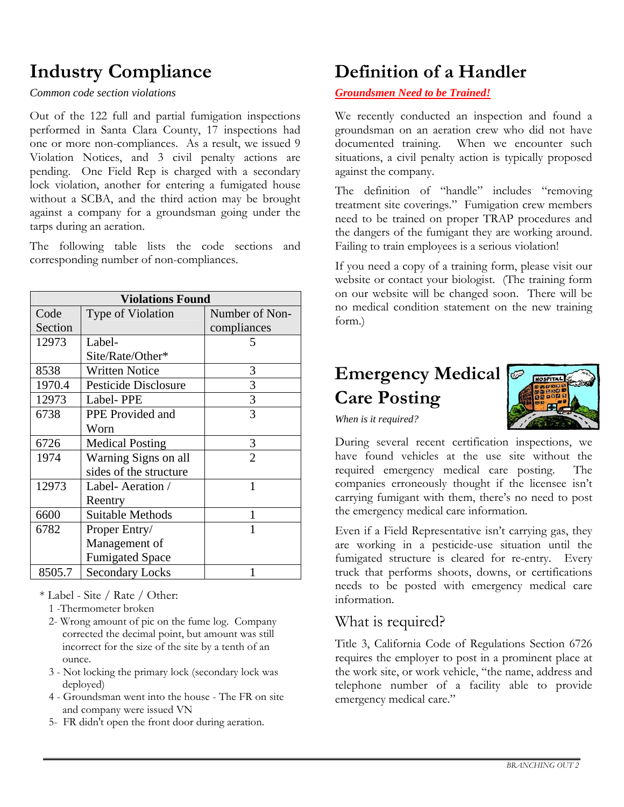# **Industry Compliance**

*Common code section violations* 

Out of the 122 full and partial fumigation inspections performed in Santa Clara County, 17 inspections had one or more non-compliances. As a result, we issued 9 Violation Notices, and 3 civil penalty actions are pending. One Field Rep is charged with a secondary lock violation, another for entering a fumigated house without a SCBA, and the third action may be brought against a company for a groundsman going under the tarps during an aeration.

The following table lists the code sections and corresponding number of non-compliances.

| <b>Violations Found</b> |                         |                |  |  |
|-------------------------|-------------------------|----------------|--|--|
| Code                    | Type of Violation       | Number of Non- |  |  |
| Section                 |                         | compliances    |  |  |
| 12973                   | Label-                  | $\mathcal{L}$  |  |  |
|                         | Site/Rate/Other*        |                |  |  |
| 8538                    | <b>Written Notice</b>   | 3              |  |  |
| 1970.4                  | Pesticide Disclosure    | 3              |  |  |
| 12973                   | Label-PPE               | 3              |  |  |
| 6738                    | PPE Provided and        | 3              |  |  |
|                         | Worn                    |                |  |  |
| 6726                    | <b>Medical Posting</b>  | 3              |  |  |
| 1974                    | Warning Signs on all    | $\overline{2}$ |  |  |
|                         | sides of the structure  |                |  |  |
| 12973                   | Label-Aeration /        | 1              |  |  |
|                         | Reentry                 |                |  |  |
| 6600                    | <b>Suitable Methods</b> | 1              |  |  |
| 6782                    | Proper Entry/           | 1              |  |  |
|                         | Management of           |                |  |  |
|                         | <b>Fumigated Space</b>  |                |  |  |
| 8505.7                  | <b>Secondary Locks</b>  |                |  |  |

- \* Label Site / Rate / Other:
	- 1 -Thermometer broken
	- 2- Wrong amount of pic on the fume log. Company corrected the decimal point, but amount was still incorrect for the size of the site by a tenth of an ounce.
	- 3 Not locking the primary lock (secondary lock was deployed)
	- 4 Groundsman went into the house The FR on site and company were issued VN
	- 5- FR didn't open the front door during aeration.

# **Definition of a Handler**

#### *Groundsmen Need to be Trained!*

We recently conducted an inspection and found a groundsman on an aeration crew who did not have documented training. When we encounter such situations, a civil penalty action is typically proposed against the company.

The definition of "handle" includes "removing treatment site coverings." Fumigation crew members need to be trained on proper TRAP procedures and the dangers of the fumigant they are working around. Failing to train employees is a serious violation!

If you need a copy of a training form, please visit our website or contact your biologist. (The training form on our website will be changed soon. There will be no medical condition statement on the new training form.)

### **Emergency Medical Care Posting**



*When is it required?* 

During several recent certification inspections, we have found vehicles at the use site without the required emergency medical care posting. The companies erroneously thought if the licensee isn't carrying fumigant with them, there's no need to post the emergency medical care information.

Even if a Field Representative isn't carrying gas, they are working in a pesticide-use situation until the fumigated structure is cleared for re-entry. Every truck that performs shoots, downs, or certifications needs to be posted with emergency medical care information.

### What is required?

Title 3, California Code of Regulations Section 6726 requires the employer to post in a prominent place at the work site, or work vehicle, "the name, address and telephone number of a facility able to provide emergency medical care."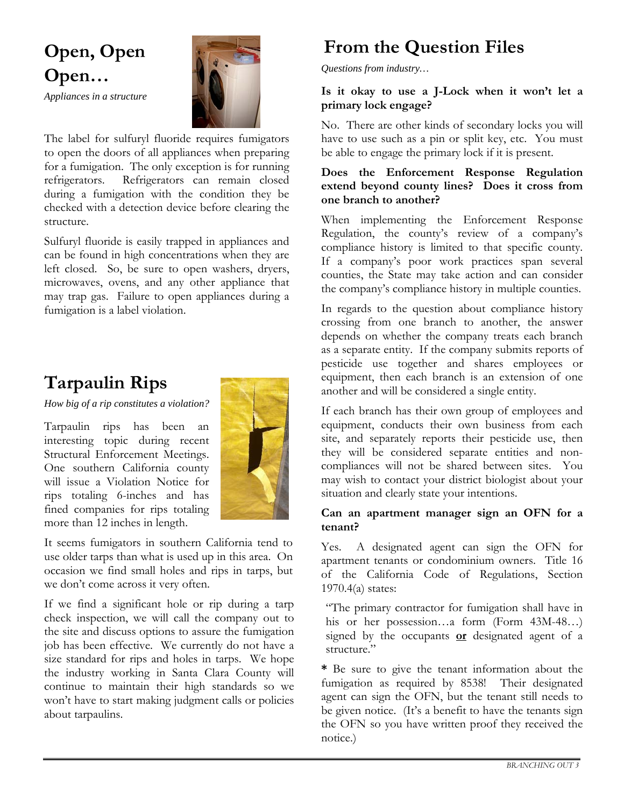# **Open, Open Open…**



*Appliances in a structure* 

The label for sulfuryl fluoride requires fumigators to open the doors of all appliances when preparing for a fumigation. The only exception is for running refrigerators. Refrigerators can remain closed during a fumigation with the condition they be checked with a detection device before clearing the structure.

Sulfuryl fluoride is easily trapped in appliances and can be found in high concentrations when they are left closed. So, be sure to open washers, dryers, microwaves, ovens, and any other appliance that may trap gas. Failure to open appliances during a fumigation is a label violation.

### **Tarpaulin Rips**

*How big of a rip constitutes a violation?* 

Tarpaulin rips has been an interesting topic during recent Structural Enforcement Meetings. One southern California county will issue a Violation Notice for rips totaling 6-inches and has fined companies for rips totaling more than 12 inches in length.



It seems fumigators in southern California tend to use older tarps than what is used up in this area. On occasion we find small holes and rips in tarps, but we don't come across it very often.

If we find a significant hole or rip during a tarp check inspection, we will call the company out to the site and discuss options to assure the fumigation job has been effective. We currently do not have a size standard for rips and holes in tarps. We hope the industry working in Santa Clara County will continue to maintain their high standards so we won't have to start making judgment calls or policies about tarpaulins.

# **From the Question Files**

*Questions from industry…* 

#### **Is it okay to use a J-Lock when it won't let a primary lock engage?**

No. There are other kinds of secondary locks you will have to use such as a pin or split key, etc. You must be able to engage the primary lock if it is present.

#### **Does the Enforcement Response Regulation extend beyond county lines? Does it cross from one branch to another?**

When implementing the Enforcement Response Regulation, the county's review of a company's compliance history is limited to that specific county. If a company's poor work practices span several counties, the State may take action and can consider the company's compliance history in multiple counties.

In regards to the question about compliance history crossing from one branch to another, the answer depends on whether the company treats each branch as a separate entity. If the company submits reports of pesticide use together and shares employees or equipment, then each branch is an extension of one another and will be considered a single entity.

If each branch has their own group of employees and equipment, conducts their own business from each site, and separately reports their pesticide use, then they will be considered separate entities and noncompliances will not be shared between sites. You may wish to contact your district biologist about your situation and clearly state your intentions.

#### **Can an apartment manager sign an OFN for a tenant?**

Yes. A designated agent can sign the OFN for apartment tenants or condominium owners. Title 16 of the California Code of Regulations, Section 1970.4(a) states:

"The primary contractor for fumigation shall have in his or her possession…a form (Form 43M-48…) signed by the occupants **or** designated agent of a structure."

**\*** Be sure to give the tenant information about the fumigation as required by 8538! Their designated agent can sign the OFN, but the tenant still needs to be given notice. (It's a benefit to have the tenants sign the OFN so you have written proof they received the notice.)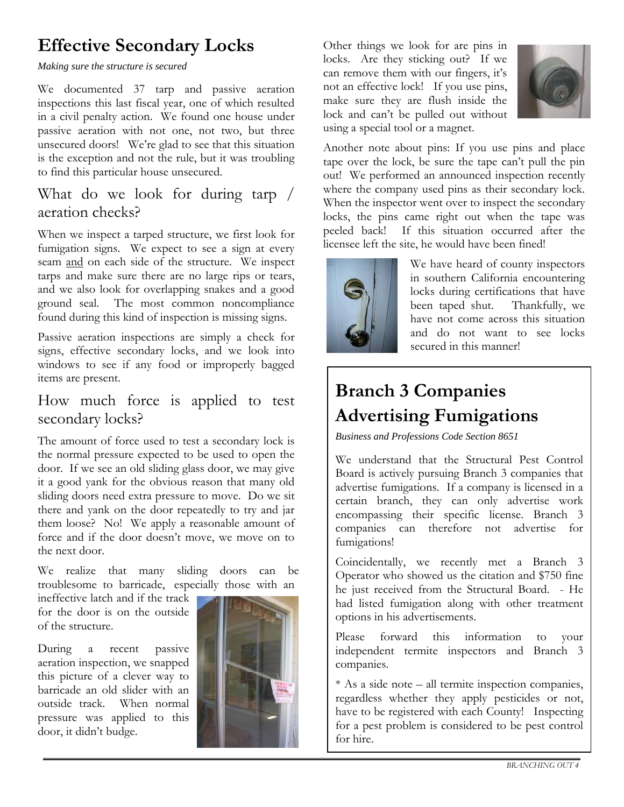### **Effective Secondary Locks**

*Making sure the structure is secured* 

We documented 37 tarp and passive aeration inspections this last fiscal year, one of which resulted in a civil penalty action. We found one house under passive aeration with not one, not two, but three unsecured doors! We're glad to see that this situation is the exception and not the rule, but it was troubling to find this particular house unsecured.

### What do we look for during tarp / aeration checks?

When we inspect a tarped structure, we first look for fumigation signs. We expect to see a sign at every seam and on each side of the structure. We inspect tarps and make sure there are no large rips or tears, and we also look for overlapping snakes and a good ground seal. The most common noncompliance found during this kind of inspection is missing signs.

Passive aeration inspections are simply a check for signs, effective secondary locks, and we look into windows to see if any food or improperly bagged items are present.

### How much force is applied to test secondary locks?

The amount of force used to test a secondary lock is the normal pressure expected to be used to open the door. If we see an old sliding glass door, we may give it a good yank for the obvious reason that many old sliding doors need extra pressure to move. Do we sit there and yank on the door repeatedly to try and jar them loose? No! We apply a reasonable amount of force and if the door doesn't move, we move on to the next door.

We realize that many sliding doors can be troublesome to barricade, especially those with an

ineffective latch and if the track for the door is on the outside of the structure.

During a recent passive aeration inspection, we snapped this picture of a clever way to barricade an old slider with an outside track. When normal pressure was applied to this door, it didn't budge.



Other things we look for are pins in locks. Are they sticking out? If we can remove them with our fingers, it's not an effective lock! If you use pins, make sure they are flush inside the lock and can't be pulled out without using a special tool or a magnet.



Another note about pins: If you use pins and place tape over the lock, be sure the tape can't pull the pin out! We performed an announced inspection recently where the company used pins as their secondary lock. When the inspector went over to inspect the secondary locks, the pins came right out when the tape was peeled back! If this situation occurred after the licensee left the site, he would have been fined!



We have heard of county inspectors in southern California encountering locks during certifications that have been taped shut. Thankfully, we have not come across this situation and do not want to see locks secured in this manner!

# **Branch 3 Companies Advertising Fumigations**

*Business and Professions Code Section 8651* 

We understand that the Structural Pest Control Board is actively pursuing Branch 3 companies that advertise fumigations. If a company is licensed in a certain branch, they can only advertise work encompassing their specific license. Branch 3 companies can therefore not advertise for fumigations!

Coincidentally, we recently met a Branch 3 Operator who showed us the citation and \$750 fine he just received from the Structural Board. - He had listed fumigation along with other treatment options in his advertisements.

Please forward this information to your independent termite inspectors and Branch 3 companies.

\* As a side note – all termite inspection companies, regardless whether they apply pesticides or not, have to be registered with each County! Inspecting for a pest problem is considered to be pest control for hire.